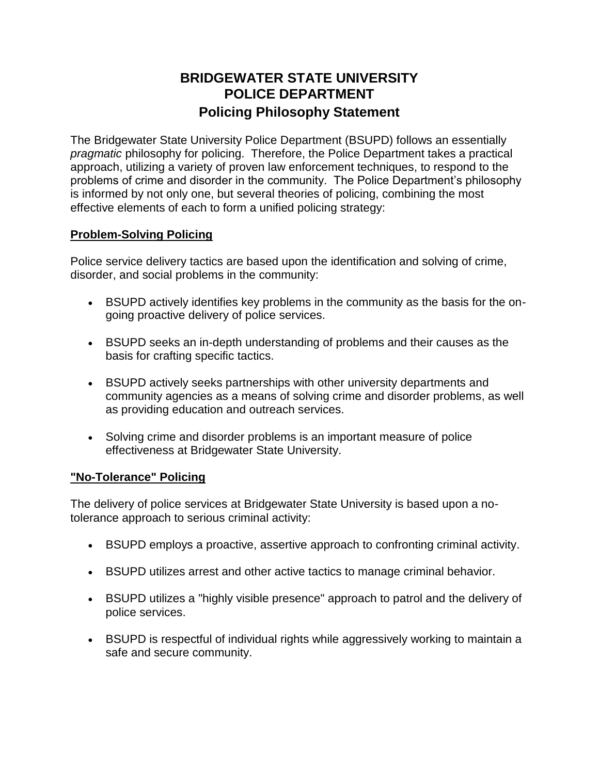## **BRIDGEWATER STATE UNIVERSITY POLICE DEPARTMENT Policing Philosophy Statement**

The Bridgewater State University Police Department (BSUPD) follows an essentially *pragmatic* philosophy for policing. Therefore, the Police Department takes a practical approach, utilizing a variety of proven law enforcement techniques, to respond to the problems of crime and disorder in the community. The Police Department's philosophy is informed by not only one, but several theories of policing, combining the most effective elements of each to form a unified policing strategy:

## **Problem-Solving Policing**

Police service delivery tactics are based upon the identification and solving of crime, disorder, and social problems in the community:

- BSUPD actively identifies key problems in the community as the basis for the ongoing proactive delivery of police services.
- BSUPD seeks an in-depth understanding of problems and their causes as the basis for crafting specific tactics.
- BSUPD actively seeks partnerships with other university departments and community agencies as a means of solving crime and disorder problems, as well as providing education and outreach services.
- Solving crime and disorder problems is an important measure of police effectiveness at Bridgewater State University.

## **"No-Tolerance" Policing**

The delivery of police services at Bridgewater State University is based upon a notolerance approach to serious criminal activity:

- BSUPD employs a proactive, assertive approach to confronting criminal activity.
- BSUPD utilizes arrest and other active tactics to manage criminal behavior.
- BSUPD utilizes a "highly visible presence" approach to patrol and the delivery of police services.
- BSUPD is respectful of individual rights while aggressively working to maintain a safe and secure community.